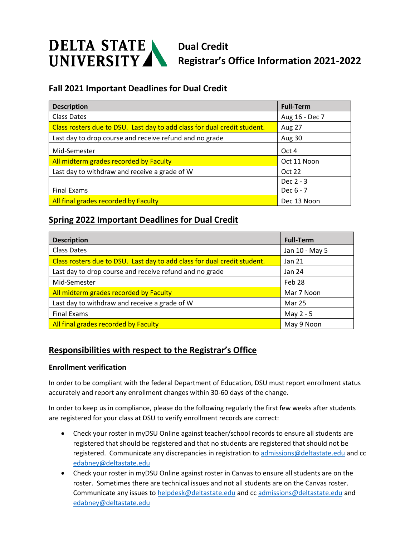

# **Fall 2021 Important Deadlines for Dual Credit**

| <b>Description</b>                                                       | <b>Full-Term</b> |
|--------------------------------------------------------------------------|------------------|
| Class Dates                                                              | Aug 16 - Dec 7   |
| Class rosters due to DSU. Last day to add class for dual credit student. | Aug 27           |
| Last day to drop course and receive refund and no grade                  | <b>Aug 30</b>    |
| Mid-Semester                                                             | Oct 4            |
| All midterm grades recorded by Faculty                                   | Oct 11 Noon      |
| Last day to withdraw and receive a grade of W                            | Oct 22           |
|                                                                          | Dec $2 - 3$      |
| <b>Final Exams</b>                                                       | Dec 6 - 7        |
| All final grades recorded by Faculty                                     | Dec 13 Noon      |

## **Spring 2022 Important Deadlines for Dual Credit**

| <b>Description</b>                                                       | <b>Full-Term</b> |
|--------------------------------------------------------------------------|------------------|
| Class Dates                                                              | Jan 10 - May 5   |
| Class rosters due to DSU. Last day to add class for dual credit student. | Jan 21           |
| Last day to drop course and receive refund and no grade                  | Jan 24           |
| Mid-Semester                                                             | Feb 28           |
| All midterm grades recorded by Faculty                                   | Mar 7 Noon       |
| Last day to withdraw and receive a grade of W                            | Mar 25           |
| <b>Final Exams</b>                                                       | May 2 - 5        |
| All final grades recorded by Faculty                                     | May 9 Noon       |

## **Responsibilities with respect to the Registrar's Office**

#### **Enrollment verification**

In order to be compliant with the federal Department of Education, DSU must report enrollment status accurately and report any enrollment changes within 30-60 days of the change.

In order to keep us in compliance, please do the following regularly the first few weeks after students are registered for your class at DSU to verify enrollment records are correct:

- Check your roster in myDSU Online against teacher/school records to ensure all students are registered that should be registered and that no students are registered that should not be registered. Communicate any discrepancies in registration t[o admissions@deltastate.edu](mailto:admissions@deltastate.edu) and cc [edabney@deltastate.edu](mailto:edabney@deltastate.edu)
- Check your roster in myDSU Online against roster in Canvas to ensure all students are on the roster. Sometimes there are technical issues and not all students are on the Canvas roster. Communicate any issues t[o helpdesk@deltastate.edu](mailto:helpdesk@deltastate.edu) and cc [admissions@deltastate.edu](mailto:admissions@deltastate.edu) and [edabney@deltastate.edu](mailto:edabney@deltastate.edu)